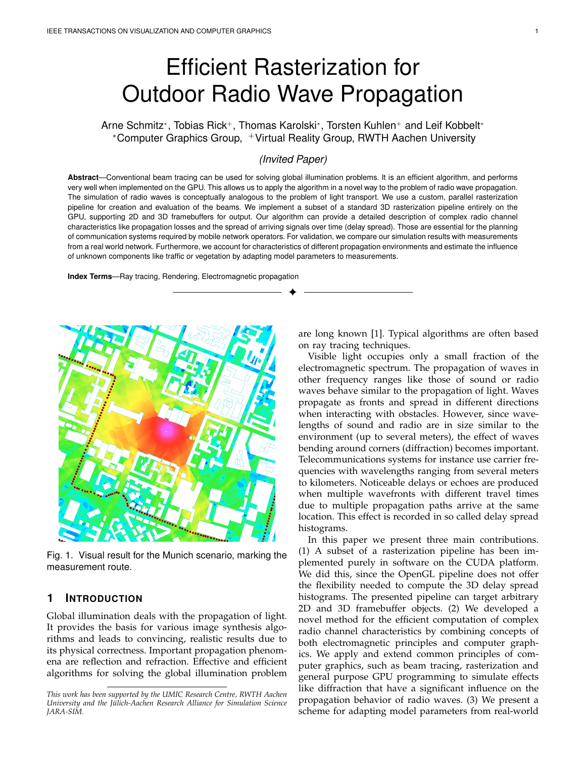# Efficient Rasterization for Outdoor Radio Wave Propagation

Arne Schmitz\*, Tobias Rick+, Thomas Karolski\*, Torsten Kuhlen+ and Leif Kobbelt\* <sup>∗</sup>Computer Graphics Group, <sup>+</sup>Virtual Reality Group, RWTH Aachen University

# *(Invited Paper)*

**Abstract**—Conventional beam tracing can be used for solving global illumination problems. It is an efficient algorithm, and performs very well when implemented on the GPU. This allows us to apply the algorithm in a novel way to the problem of radio wave propagation. The simulation of radio waves is conceptually analogous to the problem of light transport. We use a custom, parallel rasterization pipeline for creation and evaluation of the beams. We implement a subset of a standard 3D rasterization pipeline entirely on the GPU, supporting 2D and 3D framebuffers for output. Our algorithm can provide a detailed description of complex radio channel characteristics like propagation losses and the spread of arriving signals over time (delay spread). Those are essential for the planning of communication systems required by mobile network operators. For validation, we compare our simulation results with measurements from a real world network. Furthermore, we account for characteristics of different propagation environments and estimate the influence of unknown components like traffic or vegetation by adapting model parameters to measurements.

✦

**Index Terms**—Ray tracing, Rendering, Electromagnetic propagation



Fig. 1. Visual result for the Munich scenario, marking the measurement route.

# **1 INTRODUCTION**

Global illumination deals with the propagation of light. It provides the basis for various image synthesis algorithms and leads to convincing, realistic results due to its physical correctness. Important propagation phenomena are reflection and refraction. Effective and efficient algorithms for solving the global illumination problem are long known [1]. Typical algorithms are often based on ray tracing techniques.

Visible light occupies only a small fraction of the electromagnetic spectrum. The propagation of waves in other frequency ranges like those of sound or radio waves behave similar to the propagation of light. Waves propagate as fronts and spread in different directions when interacting with obstacles. However, since wavelengths of sound and radio are in size similar to the environment (up to several meters), the effect of waves bending around corners (diffraction) becomes important. Telecommunications systems for instance use carrier frequencies with wavelengths ranging from several meters to kilometers. Noticeable delays or echoes are produced when multiple wavefronts with different travel times due to multiple propagation paths arrive at the same location. This effect is recorded in so called delay spread histograms.

In this paper we present three main contributions. (1) A subset of a rasterization pipeline has been implemented purely in software on the CUDA platform. We did this, since the OpenGL pipeline does not offer the flexibility needed to compute the 3D delay spread histograms. The presented pipeline can target arbitrary 2D and 3D framebuffer objects. (2) We developed a novel method for the efficient computation of complex radio channel characteristics by combining concepts of both electromagnetic principles and computer graphics. We apply and extend common principles of computer graphics, such as beam tracing, rasterization and general purpose GPU programming to simulate effects like diffraction that have a significant influence on the propagation behavior of radio waves. (3) We present a scheme for adapting model parameters from real-world

*This work has been supported by the UMIC Research Centre, RWTH Aachen University and the Jülich-Aachen Research Alliance for Simulation Science JARA-SIM.*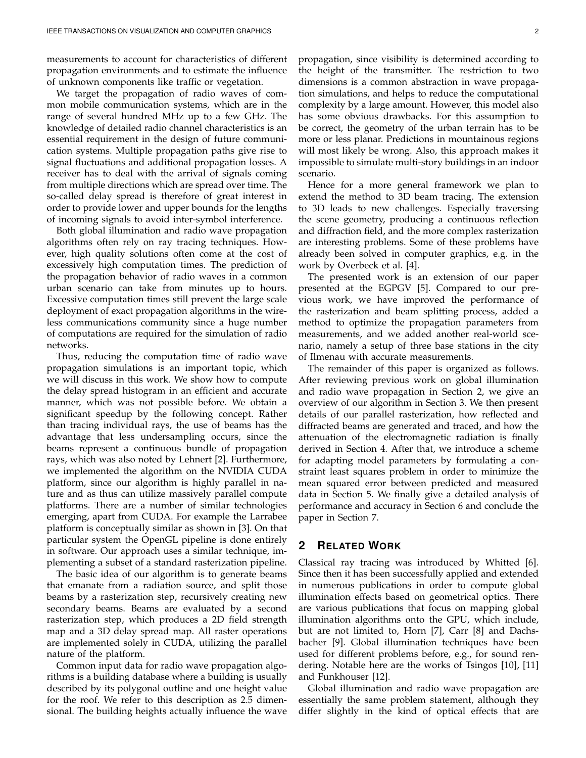measurements to account for characteristics of different propagation environments and to estimate the influence of unknown components like traffic or vegetation.

We target the propagation of radio waves of common mobile communication systems, which are in the range of several hundred MHz up to a few GHz. The knowledge of detailed radio channel characteristics is an essential requirement in the design of future communication systems. Multiple propagation paths give rise to signal fluctuations and additional propagation losses. A receiver has to deal with the arrival of signals coming from multiple directions which are spread over time. The so-called delay spread is therefore of great interest in order to provide lower and upper bounds for the lengths of incoming signals to avoid inter-symbol interference.

Both global illumination and radio wave propagation algorithms often rely on ray tracing techniques. However, high quality solutions often come at the cost of excessively high computation times. The prediction of the propagation behavior of radio waves in a common urban scenario can take from minutes up to hours. Excessive computation times still prevent the large scale deployment of exact propagation algorithms in the wireless communications community since a huge number of computations are required for the simulation of radio networks.

Thus, reducing the computation time of radio wave propagation simulations is an important topic, which we will discuss in this work. We show how to compute the delay spread histogram in an efficient and accurate manner, which was not possible before. We obtain a significant speedup by the following concept. Rather than tracing individual rays, the use of beams has the advantage that less undersampling occurs, since the beams represent a continuous bundle of propagation rays, which was also noted by Lehnert [2]. Furthermore, we implemented the algorithm on the NVIDIA CUDA platform, since our algorithm is highly parallel in nature and as thus can utilize massively parallel compute platforms. There are a number of similar technologies emerging, apart from CUDA. For example the Larrabee platform is conceptually similar as shown in [3]. On that particular system the OpenGL pipeline is done entirely in software. Our approach uses a similar technique, implementing a subset of a standard rasterization pipeline.

The basic idea of our algorithm is to generate beams that emanate from a radiation source, and split those beams by a rasterization step, recursively creating new secondary beams. Beams are evaluated by a second rasterization step, which produces a 2D field strength map and a 3D delay spread map. All raster operations are implemented solely in CUDA, utilizing the parallel nature of the platform.

Common input data for radio wave propagation algorithms is a building database where a building is usually described by its polygonal outline and one height value for the roof. We refer to this description as 2.5 dimensional. The building heights actually influence the wave

propagation, since visibility is determined according to the height of the transmitter. The restriction to two dimensions is a common abstraction in wave propagation simulations, and helps to reduce the computational complexity by a large amount. However, this model also has some obvious drawbacks. For this assumption to be correct, the geometry of the urban terrain has to be more or less planar. Predictions in mountainous regions will most likely be wrong. Also, this approach makes it impossible to simulate multi-story buildings in an indoor scenario.

Hence for a more general framework we plan to extend the method to 3D beam tracing. The extension to 3D leads to new challenges. Especially traversing the scene geometry, producing a continuous reflection and diffraction field, and the more complex rasterization are interesting problems. Some of these problems have already been solved in computer graphics, e.g. in the work by Overbeck et al. [4].

The presented work is an extension of our paper presented at the EGPGV [5]. Compared to our previous work, we have improved the performance of the rasterization and beam splitting process, added a method to optimize the propagation parameters from measurements, and we added another real-world scenario, namely a setup of three base stations in the city of Ilmenau with accurate measurements.

The remainder of this paper is organized as follows. After reviewing previous work on global illumination and radio wave propagation in Section 2, we give an overview of our algorithm in Section 3. We then present details of our parallel rasterization, how reflected and diffracted beams are generated and traced, and how the attenuation of the electromagnetic radiation is finally derived in Section 4. After that, we introduce a scheme for adapting model parameters by formulating a constraint least squares problem in order to minimize the mean squared error between predicted and measured data in Section 5. We finally give a detailed analysis of performance and accuracy in Section 6 and conclude the paper in Section 7.

# **2 RELATED WORK**

Classical ray tracing was introduced by Whitted [6]. Since then it has been successfully applied and extended in numerous publications in order to compute global illumination effects based on geometrical optics. There are various publications that focus on mapping global illumination algorithms onto the GPU, which include, but are not limited to, Horn [7], Carr [8] and Dachsbacher [9]. Global illumination techniques have been used for different problems before, e.g., for sound rendering. Notable here are the works of Tsingos [10], [11] and Funkhouser [12].

Global illumination and radio wave propagation are essentially the same problem statement, although they differ slightly in the kind of optical effects that are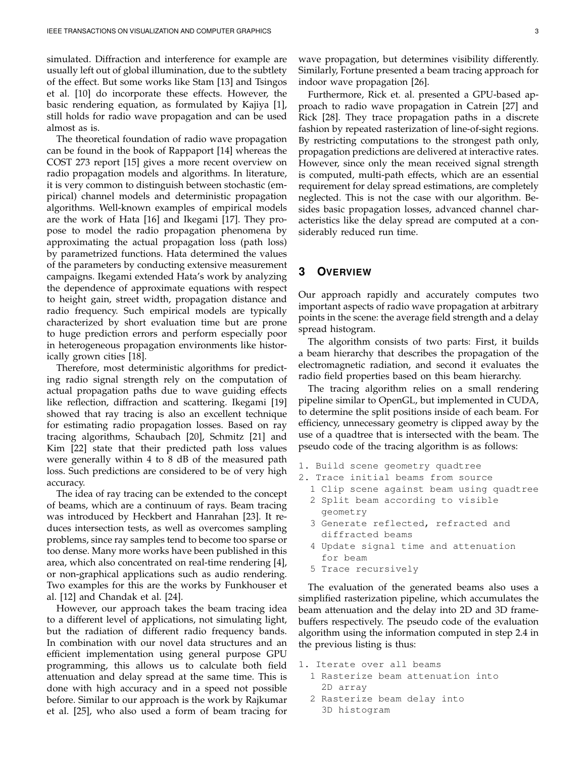simulated. Diffraction and interference for example are usually left out of global illumination, due to the subtlety of the effect. But some works like Stam [13] and Tsingos et al. [10] do incorporate these effects. However, the basic rendering equation, as formulated by Kajiya [1], still holds for radio wave propagation and can be used almost as is.

The theoretical foundation of radio wave propagation can be found in the book of Rappaport [14] whereas the COST 273 report [15] gives a more recent overview on radio propagation models and algorithms. In literature, it is very common to distinguish between stochastic (empirical) channel models and deterministic propagation algorithms. Well-known examples of empirical models are the work of Hata [16] and Ikegami [17]. They propose to model the radio propagation phenomena by approximating the actual propagation loss (path loss) by parametrized functions. Hata determined the values of the parameters by conducting extensive measurement campaigns. Ikegami extended Hata's work by analyzing the dependence of approximate equations with respect to height gain, street width, propagation distance and radio frequency. Such empirical models are typically characterized by short evaluation time but are prone to huge prediction errors and perform especially poor in heterogeneous propagation environments like historically grown cities [18].

Therefore, most deterministic algorithms for predicting radio signal strength rely on the computation of actual propagation paths due to wave guiding effects like reflection, diffraction and scattering. Ikegami [19] showed that ray tracing is also an excellent technique for estimating radio propagation losses. Based on ray tracing algorithms, Schaubach [20], Schmitz [21] and Kim [22] state that their predicted path loss values were generally within 4 to 8 dB of the measured path loss. Such predictions are considered to be of very high accuracy.

The idea of ray tracing can be extended to the concept of beams, which are a continuum of rays. Beam tracing was introduced by Heckbert and Hanrahan [23]. It reduces intersection tests, as well as overcomes sampling problems, since ray samples tend to become too sparse or too dense. Many more works have been published in this area, which also concentrated on real-time rendering [4], or non-graphical applications such as audio rendering. Two examples for this are the works by Funkhouser et al. [12] and Chandak et al. [24].

However, our approach takes the beam tracing idea to a different level of applications, not simulating light, but the radiation of different radio frequency bands. In combination with our novel data structures and an efficient implementation using general purpose GPU programming, this allows us to calculate both field attenuation and delay spread at the same time. This is done with high accuracy and in a speed not possible before. Similar to our approach is the work by Rajkumar et al. [25], who also used a form of beam tracing for wave propagation, but determines visibility differently. Similarly, Fortune presented a beam tracing approach for indoor wave propagation [26].

Furthermore, Rick et. al. presented a GPU-based approach to radio wave propagation in Catrein [27] and Rick [28]. They trace propagation paths in a discrete fashion by repeated rasterization of line-of-sight regions. By restricting computations to the strongest path only, propagation predictions are delivered at interactive rates. However, since only the mean received signal strength is computed, multi-path effects, which are an essential requirement for delay spread estimations, are completely neglected. This is not the case with our algorithm. Besides basic propagation losses, advanced channel characteristics like the delay spread are computed at a considerably reduced run time.

# **3 OVERVIEW**

Our approach rapidly and accurately computes two important aspects of radio wave propagation at arbitrary points in the scene: the average field strength and a delay spread histogram.

The algorithm consists of two parts: First, it builds a beam hierarchy that describes the propagation of the electromagnetic radiation, and second it evaluates the radio field properties based on this beam hierarchy.

The tracing algorithm relies on a small rendering pipeline similar to OpenGL, but implemented in CUDA, to determine the split positions inside of each beam. For efficiency, unnecessary geometry is clipped away by the use of a quadtree that is intersected with the beam. The pseudo code of the tracing algorithm is as follows:

- 1. Build scene geometry quadtree
- 2. Trace initial beams from source
	- 1 Clip scene against beam using quadtree 2 Split beam according to visible
	- geometry
	- 3 Generate reflected, refracted and diffracted beams
	- 4 Update signal time and attenuation for beam
	- 5 Trace recursively

The evaluation of the generated beams also uses a simplified rasterization pipeline, which accumulates the beam attenuation and the delay into 2D and 3D framebuffers respectively. The pseudo code of the evaluation algorithm using the information computed in step 2.4 in the previous listing is thus:

- 1. Iterate over all beams 1 Rasterize beam attenuation into 2D array
	- 2 Rasterize beam delay into 3D histogram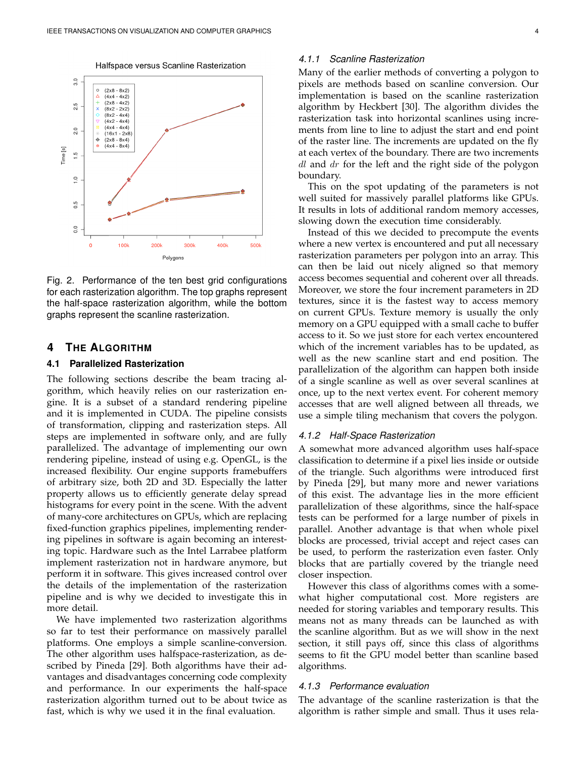



Fig. 2. Performance of the ten best grid configurations for each rasterization algorithm. The top graphs represent the half-space rasterization algorithm, while the bottom graphs represent the scanline rasterization.

# **4 THE ALGORITHM**

#### **4.1 Parallelized Rasterization**

The following sections describe the beam tracing algorithm, which heavily relies on our rasterization engine. It is a subset of a standard rendering pipeline and it is implemented in CUDA. The pipeline consists of transformation, clipping and rasterization steps. All steps are implemented in software only, and are fully parallelized. The advantage of implementing our own rendering pipeline, instead of using e.g. OpenGL, is the increased flexibility. Our engine supports framebuffers of arbitrary size, both 2D and 3D. Especially the latter property allows us to efficiently generate delay spread histograms for every point in the scene. With the advent of many-core architectures on GPUs, which are replacing fixed-function graphics pipelines, implementing rendering pipelines in software is again becoming an interesting topic. Hardware such as the Intel Larrabee platform implement rasterization not in hardware anymore, but perform it in software. This gives increased control over the details of the implementation of the rasterization pipeline and is why we decided to investigate this in more detail.

We have implemented two rasterization algorithms so far to test their performance on massively parallel platforms. One employs a simple scanline-conversion. The other algorithm uses halfspace-rasterization, as described by Pineda [29]. Both algorithms have their advantages and disadvantages concerning code complexity and performance. In our experiments the half-space rasterization algorithm turned out to be about twice as fast, which is why we used it in the final evaluation.

# *4.1.1 Scanline Rasterization*

Many of the earlier methods of converting a polygon to pixels are methods based on scanline conversion. Our implementation is based on the scanline rasterization algorithm by Heckbert [30]. The algorithm divides the rasterization task into horizontal scanlines using increments from line to line to adjust the start and end point of the raster line. The increments are updated on the fly at each vertex of the boundary. There are two increments  $dl$  and  $dr$  for the left and the right side of the polygon boundary.

This on the spot updating of the parameters is not well suited for massively parallel platforms like GPUs. It results in lots of additional random memory accesses, slowing down the execution time considerably.

Instead of this we decided to precompute the events where a new vertex is encountered and put all necessary rasterization parameters per polygon into an array. This can then be laid out nicely aligned so that memory access becomes sequential and coherent over all threads. Moreover, we store the four increment parameters in 2D textures, since it is the fastest way to access memory on current GPUs. Texture memory is usually the only memory on a GPU equipped with a small cache to buffer access to it. So we just store for each vertex encountered which of the increment variables has to be updated, as well as the new scanline start and end position. The parallelization of the algorithm can happen both inside of a single scanline as well as over several scanlines at once, up to the next vertex event. For coherent memory accesses that are well aligned between all threads, we use a simple tiling mechanism that covers the polygon.

## *4.1.2 Half-Space Rasterization*

A somewhat more advanced algorithm uses half-space classification to determine if a pixel lies inside or outside of the triangle. Such algorithms were introduced first by Pineda [29], but many more and newer variations of this exist. The advantage lies in the more efficient parallelization of these algorithms, since the half-space tests can be performed for a large number of pixels in parallel. Another advantage is that when whole pixel blocks are processed, trivial accept and reject cases can be used, to perform the rasterization even faster. Only blocks that are partially covered by the triangle need closer inspection.

However this class of algorithms comes with a somewhat higher computational cost. More registers are needed for storing variables and temporary results. This means not as many threads can be launched as with the scanline algorithm. But as we will show in the next section, it still pays off, since this class of algorithms seems to fit the GPU model better than scanline based algorithms.

#### *4.1.3 Performance evaluation*

The advantage of the scanline rasterization is that the algorithm is rather simple and small. Thus it uses rela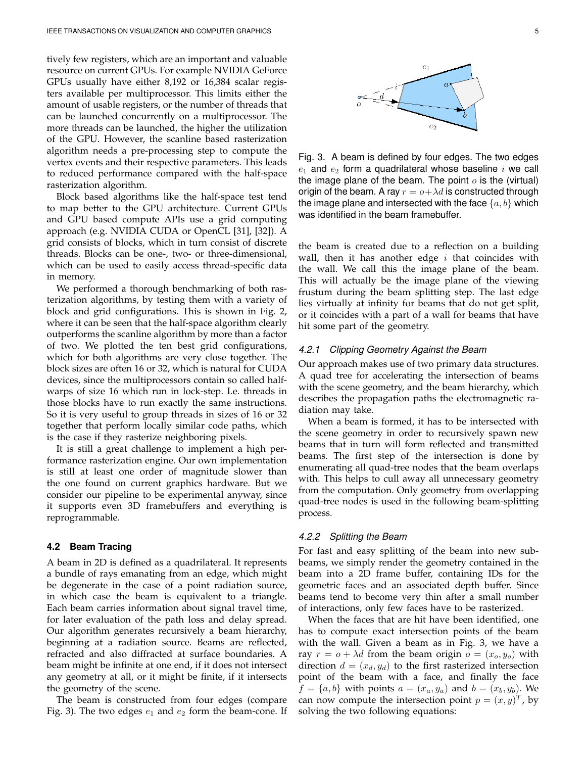tively few registers, which are an important and valuable resource on current GPUs. For example NVIDIA GeForce GPUs usually have either 8,192 or 16,384 scalar registers available per multiprocessor. This limits either the amount of usable registers, or the number of threads that can be launched concurrently on a multiprocessor. The more threads can be launched, the higher the utilization of the GPU. However, the scanline based rasterization algorithm needs a pre-processing step to compute the vertex events and their respective parameters. This leads to reduced performance compared with the half-space rasterization algorithm.

Block based algorithms like the half-space test tend to map better to the GPU architecture. Current GPUs and GPU based compute APIs use a grid computing approach (e.g. NVIDIA CUDA or OpenCL [31], [32]). A grid consists of blocks, which in turn consist of discrete threads. Blocks can be one-, two- or three-dimensional, which can be used to easily access thread-specific data in memory.

We performed a thorough benchmarking of both rasterization algorithms, by testing them with a variety of block and grid configurations. This is shown in Fig. 2, where it can be seen that the half-space algorithm clearly outperforms the scanline algorithm by more than a factor of two. We plotted the ten best grid configurations, which for both algorithms are very close together. The block sizes are often 16 or 32, which is natural for CUDA devices, since the multiprocessors contain so called halfwarps of size 16 which run in lock-step. I.e. threads in those blocks have to run exactly the same instructions. So it is very useful to group threads in sizes of 16 or 32 together that perform locally similar code paths, which is the case if they rasterize neighboring pixels.

It is still a great challenge to implement a high performance rasterization engine. Our own implementation is still at least one order of magnitude slower than the one found on current graphics hardware. But we consider our pipeline to be experimental anyway, since it supports even 3D framebuffers and everything is reprogrammable.

#### **4.2 Beam Tracing**

A beam in 2D is defined as a quadrilateral. It represents a bundle of rays emanating from an edge, which might be degenerate in the case of a point radiation source, in which case the beam is equivalent to a triangle. Each beam carries information about signal travel time, for later evaluation of the path loss and delay spread. Our algorithm generates recursively a beam hierarchy, beginning at a radiation source. Beams are reflected, refracted and also diffracted at surface boundaries. A beam might be infinite at one end, if it does not intersect any geometry at all, or it might be finite, if it intersects the geometry of the scene.

The beam is constructed from four edges (compare Fig. 3). The two edges  $e_1$  and  $e_2$  form the beam-cone. If

Fig. 3. A beam is defined by four edges. The two edges  $e_1$  and  $e_2$  form a quadrilateral whose baseline i we call the image plane of the beam. The point  $o$  is the (virtual) origin of the beam. A ray  $r = o + \lambda d$  is constructed through the image plane and intersected with the face  $\{a, b\}$  which was identified in the beam framebuffer.

the beam is created due to a reflection on a building wall, then it has another edge  $i$  that coincides with the wall. We call this the image plane of the beam. This will actually be the image plane of the viewing frustum during the beam splitting step. The last edge lies virtually at infinity for beams that do not get split, or it coincides with a part of a wall for beams that have hit some part of the geometry.

#### *4.2.1 Clipping Geometry Against the Beam*

Our approach makes use of two primary data structures. A quad tree for accelerating the intersection of beams with the scene geometry, and the beam hierarchy, which describes the propagation paths the electromagnetic radiation may take.

When a beam is formed, it has to be intersected with the scene geometry in order to recursively spawn new beams that in turn will form reflected and transmitted beams. The first step of the intersection is done by enumerating all quad-tree nodes that the beam overlaps with. This helps to cull away all unnecessary geometry from the computation. Only geometry from overlapping quad-tree nodes is used in the following beam-splitting process.

#### *4.2.2 Splitting the Beam*

For fast and easy splitting of the beam into new subbeams, we simply render the geometry contained in the beam into a 2D frame buffer, containing IDs for the geometric faces and an associated depth buffer. Since beams tend to become very thin after a small number of interactions, only few faces have to be rasterized.

When the faces that are hit have been identified, one has to compute exact intersection points of the beam with the wall. Given a beam as in Fig. 3, we have a ray  $r = o + \lambda d$  from the beam origin  $o = (x_o, y_o)$  with direction  $d = (x_d, y_d)$  to the first rasterized intersection point of the beam with a face, and finally the face  $f = \{a, b\}$  with points  $a = (x_a, y_a)$  and  $b = (x_b, y_b)$ . We can now compute the intersection point  $p = (x, y)^T$ , by solving the two following equations: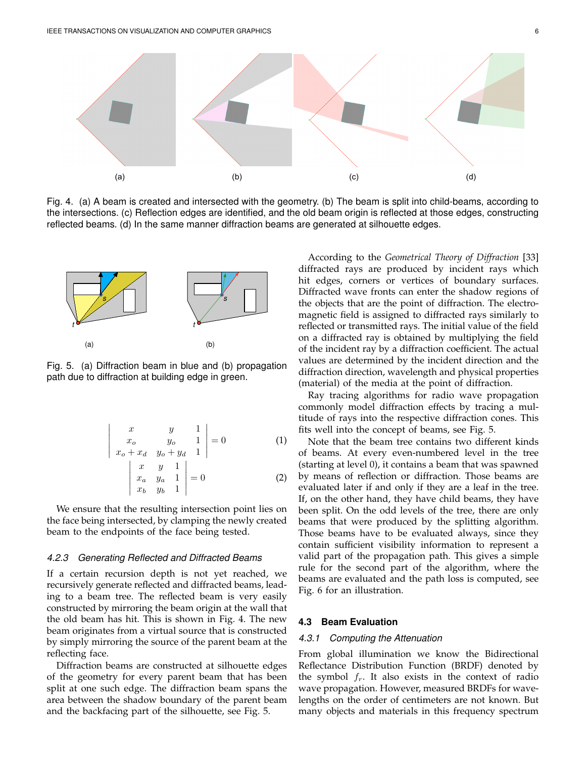

Fig. 4. (a) A beam is created and intersected with the geometry. (b) The beam is split into child-beams, according to the intersections. (c) Reflection edges are identified, and the old beam origin is reflected at those edges, constructing reflected beams. (d) In the same manner diffraction beams are generated at silhouette edges.



Fig. 5. (a) Diffraction beam in blue and (b) propagation path due to diffraction at building edge in green.

$$
\begin{vmatrix} x & y & 1 \ x_0 & y_0 & 1 \ x_0 + x_d & y_0 + y_d & 1 \ x & y & 1 \ x_a & y_a & 1 \ x_b & y_b & 1 \end{vmatrix} = 0
$$
 (1)

We ensure that the resulting intersection point lies on the face being intersected, by clamping the newly created beam to the endpoints of the face being tested.

#### *4.2.3 Generating Reflected and Diffracted Beams*

If a certain recursion depth is not yet reached, we recursively generate reflected and diffracted beams, leading to a beam tree. The reflected beam is very easily constructed by mirroring the beam origin at the wall that the old beam has hit. This is shown in Fig. 4. The new beam originates from a virtual source that is constructed by simply mirroring the source of the parent beam at the reflecting face.

Diffraction beams are constructed at silhouette edges of the geometry for every parent beam that has been split at one such edge. The diffraction beam spans the area between the shadow boundary of the parent beam and the backfacing part of the silhouette, see Fig. 5.

According to the *Geometrical Theory of Diffraction* [33] diffracted rays are produced by incident rays which hit edges, corners or vertices of boundary surfaces. Diffracted wave fronts can enter the shadow regions of the objects that are the point of diffraction. The electromagnetic field is assigned to diffracted rays similarly to reflected or transmitted rays. The initial value of the field on a diffracted ray is obtained by multiplying the field of the incident ray by a diffraction coefficient. The actual values are determined by the incident direction and the diffraction direction, wavelength and physical properties (material) of the media at the point of diffraction.

Ray tracing algorithms for radio wave propagation commonly model diffraction effects by tracing a multitude of rays into the respective diffraction cones. This fits well into the concept of beams, see Fig. 5.

Note that the beam tree contains two different kinds of beams. At every even-numbered level in the tree (starting at level 0), it contains a beam that was spawned by means of reflection or diffraction. Those beams are evaluated later if and only if they are a leaf in the tree. If, on the other hand, they have child beams, they have been split. On the odd levels of the tree, there are only beams that were produced by the splitting algorithm. Those beams have to be evaluated always, since they contain sufficient visibility information to represent a valid part of the propagation path. This gives a simple rule for the second part of the algorithm, where the beams are evaluated and the path loss is computed, see Fig. 6 for an illustration.

## **4.3 Beam Evaluation**

## *4.3.1 Computing the Attenuation*

From global illumination we know the Bidirectional Reflectance Distribution Function (BRDF) denoted by the symbol  $f_r$ . It also exists in the context of radio wave propagation. However, measured BRDFs for wavelengths on the order of centimeters are not known. But many objects and materials in this frequency spectrum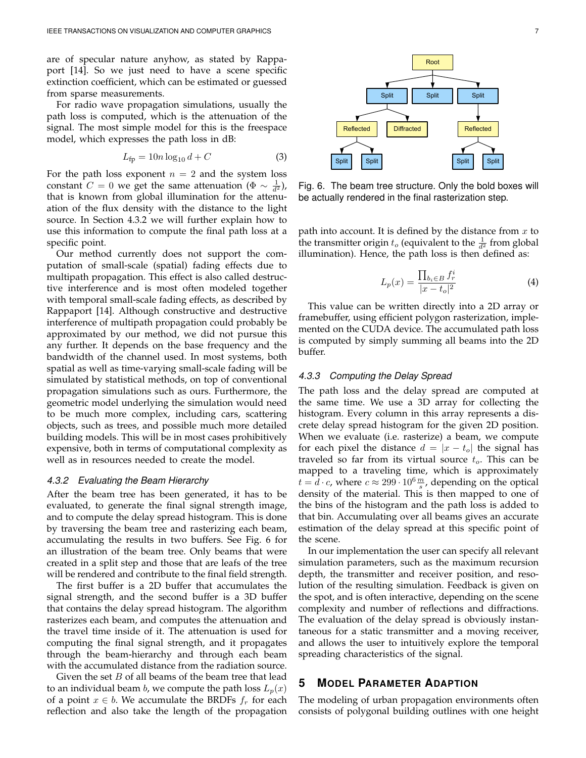are of specular nature anyhow, as stated by Rappaport [14]. So we just need to have a scene specific extinction coefficient, which can be estimated or guessed from sparse measurements.

For radio wave propagation simulations, usually the path loss is computed, which is the attenuation of the signal. The most simple model for this is the freespace model, which expresses the path loss in dB:

$$
L_{\text{fp}} = 10n \log_{10} d + C \tag{3}
$$

For the path loss exponent  $n = 2$  and the system loss constant  $C = 0$  we get the same attenuation  $(\Phi \sim \frac{1}{d^2})$ , that is known from global illumination for the attenuation of the flux density with the distance to the light source. In Section 4.3.2 we will further explain how to use this information to compute the final path loss at a specific point.

Our method currently does not support the computation of small-scale (spatial) fading effects due to multipath propagation. This effect is also called destructive interference and is most often modeled together with temporal small-scale fading effects, as described by Rappaport [14]. Although constructive and destructive interference of multipath propagation could probably be approximated by our method, we did not pursue this any further. It depends on the base frequency and the bandwidth of the channel used. In most systems, both spatial as well as time-varying small-scale fading will be simulated by statistical methods, on top of conventional propagation simulations such as ours. Furthermore, the geometric model underlying the simulation would need to be much more complex, including cars, scattering objects, such as trees, and possible much more detailed building models. This will be in most cases prohibitively expensive, both in terms of computational complexity as well as in resources needed to create the model.

#### *4.3.2 Evaluating the Beam Hierarchy*

After the beam tree has been generated, it has to be evaluated, to generate the final signal strength image, and to compute the delay spread histogram. This is done by traversing the beam tree and rasterizing each beam, accumulating the results in two buffers. See Fig. 6 for an illustration of the beam tree. Only beams that were created in a split step and those that are leafs of the tree will be rendered and contribute to the final field strength.

The first buffer is a 2D buffer that accumulates the signal strength, and the second buffer is a 3D buffer that contains the delay spread histogram. The algorithm rasterizes each beam, and computes the attenuation and the travel time inside of it. The attenuation is used for computing the final signal strength, and it propagates through the beam-hierarchy and through each beam with the accumulated distance from the radiation source.

Given the set  $B$  of all beams of the beam tree that lead to an individual beam *b*, we compute the path loss  $L_p(x)$ of a point  $x \in b$ . We accumulate the BRDFs  $f_r$  for each reflection and also take the length of the propagation

Root Split | Split | Split Reflected Diffracted Reflected Split Split Split Split Split

Fig. 6. The beam tree structure. Only the bold boxes will be actually rendered in the final rasterization step.

path into account. It is defined by the distance from  $x$  to the transmitter origin  $t_o$  (equivalent to the  $\frac{1}{d^2}$  from global illumination). Hence, the path loss is then defined as:

$$
L_p(x) = \frac{\prod_{b_i \in B} f_r^i}{|x - t_o|^2}
$$
 (4)

This value can be written directly into a 2D array or framebuffer, using efficient polygon rasterization, implemented on the CUDA device. The accumulated path loss is computed by simply summing all beams into the 2D buffer.

#### *4.3.3 Computing the Delay Spread*

The path loss and the delay spread are computed at the same time. We use a 3D array for collecting the histogram. Every column in this array represents a discrete delay spread histogram for the given 2D position. When we evaluate (i.e. rasterize) a beam, we compute for each pixel the distance  $d = |x - t_o|$  the signal has traveled so far from its virtual source  $t_o$ . This can be mapped to a traveling time, which is approximately  $t = d \cdot c$ , where  $c \approx 299 \cdot 10^6 \frac{m}{s}$ , depending on the optical density of the material. This is then mapped to one of the bins of the histogram and the path loss is added to that bin. Accumulating over all beams gives an accurate estimation of the delay spread at this specific point of the scene.

In our implementation the user can specify all relevant simulation parameters, such as the maximum recursion depth, the transmitter and receiver position, and resolution of the resulting simulation. Feedback is given on the spot, and is often interactive, depending on the scene complexity and number of reflections and diffractions. The evaluation of the delay spread is obviously instantaneous for a static transmitter and a moving receiver, and allows the user to intuitively explore the temporal spreading characteristics of the signal.

# **5 MODEL PARAMETER ADAPTION**

The modeling of urban propagation environments often consists of polygonal building outlines with one height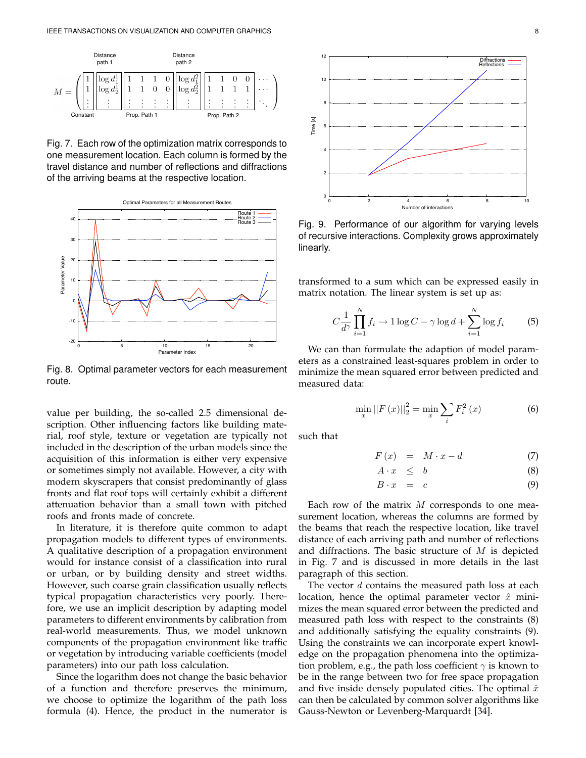

Fig. 7. Each row of the optimization matrix corresponds to one measurement location. Each column is formed by the travel distance and number of reflections and diffractions of the arriving beams at the respective location.



Fig. 8. Optimal parameter vectors for each measurement route.

value per building, the so-called 2.5 dimensional description. Other influencing factors like building material, roof style, texture or vegetation are typically not included in the description of the urban models since the acquisition of this information is either very expensive or sometimes simply not available. However, a city with modern skyscrapers that consist predominantly of glass fronts and flat roof tops will certainly exhibit a different attenuation behavior than a small town with pitched roofs and fronts made of concrete.

In literature, it is therefore quite common to adapt propagation models to different types of environments. A qualitative description of a propagation environment would for instance consist of a classification into rural or urban, or by building density and street widths. However, such coarse grain classification usually reflects typical propagation characteristics very poorly. Therefore, we use an implicit description by adapting model parameters to different environments by calibration from real-world measurements. Thus, we model unknown components of the propagation environment like traffic or vegetation by introducing variable coefficients (model parameters) into our path loss calculation.

Since the logarithm does not change the basic behavior of a function and therefore preserves the minimum, we choose to optimize the logarithm of the path loss formula (4). Hence, the product in the numerator is



Fig. 9. Performance of our algorithm for varying levels of recursive interactions. Complexity grows approximately linearly.

transformed to a sum which can be expressed easily in matrix notation. The linear system is set up as:

$$
C\frac{1}{d^{\gamma}}\prod_{i=1}^{N}f_i \to 1\log C - \gamma\log d + \sum_{i=1}^{N}\log f_i \tag{5}
$$

We can than formulate the adaption of model parameters as a constrained least-squares problem in order to minimize the mean squared error between predicted and measured data:

$$
\min_{x} ||F(x)||_{2}^{2} = \min_{x} \sum_{i} F_{i}^{2}(x)
$$
\n(6)

such that

$$
F(x) = M \cdot x - d \tag{7}
$$

$$
A \cdot x \leq b \tag{8}
$$

$$
B \cdot x = c \tag{9}
$$

Each row of the matrix  $M$  corresponds to one measurement location, whereas the columns are formed by the beams that reach the respective location, like travel distance of each arriving path and number of reflections and diffractions. The basic structure of  $M$  is depicted in Fig. 7 and is discussed in more details in the last paragraph of this section.

The vector d contains the measured path loss at each location, hence the optimal parameter vector  $\hat{x}$  minimizes the mean squared error between the predicted and measured path loss with respect to the constraints (8) and additionally satisfying the equality constraints (9). Using the constraints we can incorporate expert knowledge on the propagation phenomena into the optimization problem, e.g., the path loss coefficient  $\gamma$  is known to be in the range between two for free space propagation and five inside densely populated cities. The optimal  $\hat{x}$ can then be calculated by common solver algorithms like Gauss-Newton or Levenberg-Marquardt [34].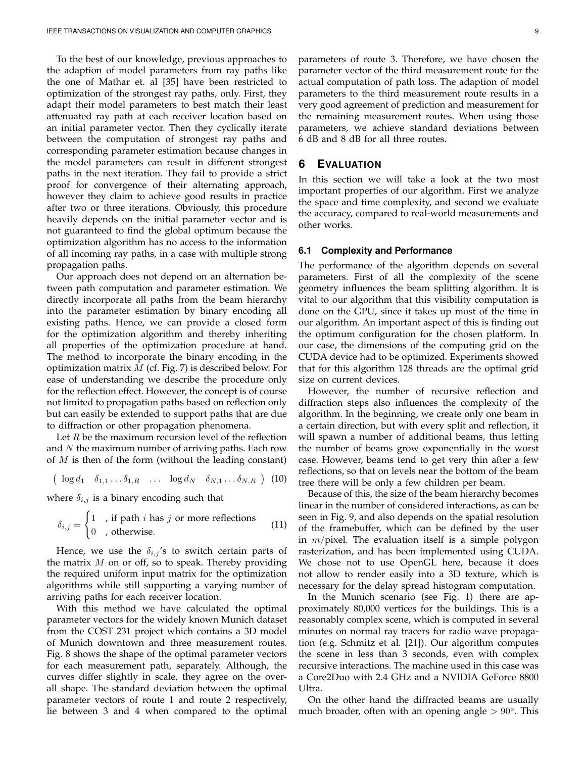To the best of our knowledge, previous approaches to the adaption of model parameters from ray paths like the one of Mathar et. al [35] have been restricted to optimization of the strongest ray paths, only. First, they adapt their model parameters to best match their least attenuated ray path at each receiver location based on an initial parameter vector. Then they cyclically iterate between the computation of strongest ray paths and corresponding parameter estimation because changes in the model parameters can result in different strongest paths in the next iteration. They fail to provide a strict proof for convergence of their alternating approach, however they claim to achieve good results in practice after two or three iterations. Obviously, this procedure heavily depends on the initial parameter vector and is not guaranteed to find the global optimum because the optimization algorithm has no access to the information of all incoming ray paths, in a case with multiple strong propagation paths.

Our approach does not depend on an alternation between path computation and parameter estimation. We directly incorporate all paths from the beam hierarchy into the parameter estimation by binary encoding all existing paths. Hence, we can provide a closed form for the optimization algorithm and thereby inheriting all properties of the optimization procedure at hand. The method to incorporate the binary encoding in the optimization matrix  $M$  (cf. Fig. 7) is described below. For ease of understanding we describe the procedure only for the reflection effect. However, the concept is of course not limited to propagation paths based on reflection only but can easily be extended to support paths that are due to diffraction or other propagation phenomena.

Let  $R$  be the maximum recursion level of the reflection and  $N$  the maximum number of arriving paths. Each row of  $M$  is then of the form (without the leading constant)

$$
(\log d_1 \quad \delta_{1,1} \dots \delta_{1,R} \quad \dots \quad \log d_N \quad \delta_{N,1} \dots \delta_{N,R} \quad ) \tag{10}
$$

where  $\delta_{i,j}$  is a binary encoding such that

$$
\delta_{i,j} = \begin{cases} 1, & \text{if path } i \text{ has } j \text{ or more reflections} \\ 0, & \text{otherwise.} \end{cases}
$$
 (11)

Hence, we use the  $\delta_{i,j}$ 's to switch certain parts of the matrix  $M$  on or off, so to speak. Thereby providing the required uniform input matrix for the optimization algorithms while still supporting a varying number of arriving paths for each receiver location.

With this method we have calculated the optimal parameter vectors for the widely known Munich dataset from the COST 231 project which contains a 3D model of Munich downtown and three measurement routes. Fig. 8 shows the shape of the optimal parameter vectors for each measurement path, separately. Although, the curves differ slightly in scale, they agree on the overall shape. The standard deviation between the optimal parameter vectors of route 1 and route 2 respectively, lie between 3 and 4 when compared to the optimal

parameters of route 3. Therefore, we have chosen the parameter vector of the third measurement route for the actual computation of path loss. The adaption of model parameters to the third measurement route results in a very good agreement of prediction and measurement for the remaining measurement routes. When using those parameters, we achieve standard deviations between 6 dB and 8 dB for all three routes.

# **6 EVALUATION**

In this section we will take a look at the two most important properties of our algorithm. First we analyze the space and time complexity, and second we evaluate the accuracy, compared to real-world measurements and other works.

## **6.1 Complexity and Performance**

The performance of the algorithm depends on several parameters. First of all the complexity of the scene geometry influences the beam splitting algorithm. It is vital to our algorithm that this visibility computation is done on the GPU, since it takes up most of the time in our algorithm. An important aspect of this is finding out the optimum configuration for the chosen platform. In our case, the dimensions of the computing grid on the CUDA device had to be optimized. Experiments showed that for this algorithm 128 threads are the optimal grid size on current devices.

However, the number of recursive reflection and diffraction steps also influences the complexity of the algorithm. In the beginning, we create only one beam in a certain direction, but with every split and reflection, it will spawn a number of additional beams, thus letting the number of beams grow exponentially in the worst case. However, beams tend to get very thin after a few reflections, so that on levels near the bottom of the beam tree there will be only a few children per beam.

Because of this, the size of the beam hierarchy becomes linear in the number of considered interactions, as can be seen in Fig. 9, and also depends on the spatial resolution of the framebuffer, which can be defined by the user in  $m/p$ ixel. The evaluation itself is a simple polygon rasterization, and has been implemented using CUDA. We chose not to use OpenGL here, because it does not allow to render easily into a 3D texture, which is necessary for the delay spread histogram computation.

In the Munich scenario (see Fig. 1) there are approximately 80,000 vertices for the buildings. This is a reasonably complex scene, which is computed in several minutes on normal ray tracers for radio wave propagation (e.g. Schmitz et al. [21]). Our algorithm computes the scene in less than 3 seconds, even with complex recursive interactions. The machine used in this case was a Core2Duo with 2.4 GHz and a NVIDIA GeForce 8800 Ultra.

On the other hand the diffracted beams are usually much broader, often with an opening angle  $> 90^\circ$ . This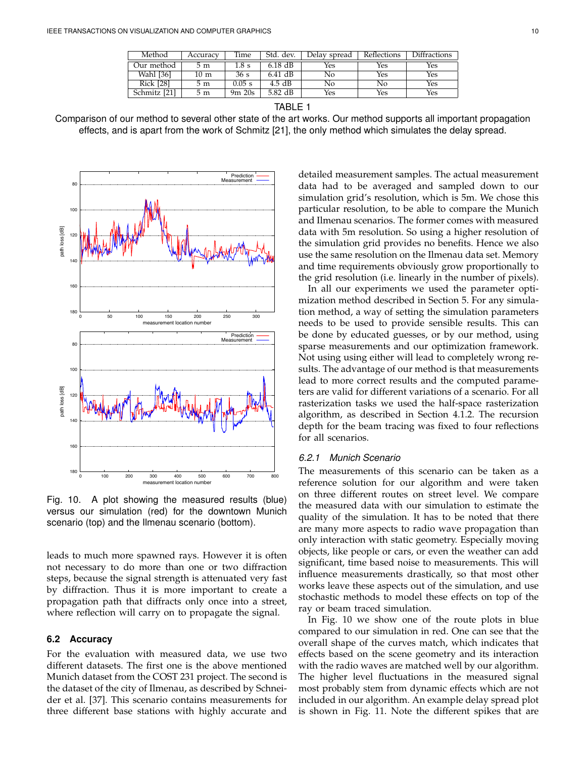| Method           | Accuracy | Time       | Std. dev. | Delay spread | Reflections | Diffractions |
|------------------|----------|------------|-----------|--------------|-------------|--------------|
| Our method       | 5 m      | l.8 s      | $6.18$ dB | Yes          | Yes         | Yes          |
| Wahl [36]        | 10 m     | 36s        | $6.41$ dB | No           | Yes         | Yes          |
| <b>Rick [28]</b> | 5 m      | $0.05$ s   | $4.5$ dB  | No           | No          | Yes          |
| Schmitz [21]     | 5 m      | $9m$ $20s$ | 5.82 dB   | Yes          | Yes         | Yes          |

TABLE 1

Comparison of our method to several other state of the art works. Our method supports all important propagation effects, and is apart from the work of Schmitz [21], the only method which simulates the delay spread.



Fig. 10. A plot showing the measured results (blue) versus our simulation (red) for the downtown Munich scenario (top) and the Ilmenau scenario (bottom).

leads to much more spawned rays. However it is often not necessary to do more than one or two diffraction steps, because the signal strength is attenuated very fast by diffraction. Thus it is more important to create a propagation path that diffracts only once into a street, where reflection will carry on to propagate the signal.

## **6.2 Accuracy**

For the evaluation with measured data, we use two different datasets. The first one is the above mentioned Munich dataset from the COST 231 project. The second is the dataset of the city of Ilmenau, as described by Schneider et al. [37]. This scenario contains measurements for three different base stations with highly accurate and

detailed measurement samples. The actual measurement data had to be averaged and sampled down to our simulation grid's resolution, which is 5m. We chose this particular resolution, to be able to compare the Munich and Ilmenau scenarios. The former comes with measured data with 5m resolution. So using a higher resolution of the simulation grid provides no benefits. Hence we also use the same resolution on the Ilmenau data set. Memory and time requirements obviously grow proportionally to the grid resolution (i.e. linearly in the number of pixels).

In all our experiments we used the parameter optimization method described in Section 5. For any simulation method, a way of setting the simulation parameters needs to be used to provide sensible results. This can be done by educated guesses, or by our method, using sparse measurements and our optimization framework. Not using using either will lead to completely wrong results. The advantage of our method is that measurements lead to more correct results and the computed parameters are valid for different variations of a scenario. For all rasterization tasks we used the half-space rasterization algorithm, as described in Section 4.1.2. The recursion depth for the beam tracing was fixed to four reflections for all scenarios.

# *6.2.1 Munich Scenario*

The measurements of this scenario can be taken as a reference solution for our algorithm and were taken on three different routes on street level. We compare the measured data with our simulation to estimate the quality of the simulation. It has to be noted that there are many more aspects to radio wave propagation than only interaction with static geometry. Especially moving objects, like people or cars, or even the weather can add significant, time based noise to measurements. This will influence measurements drastically, so that most other works leave these aspects out of the simulation, and use stochastic methods to model these effects on top of the ray or beam traced simulation.

In Fig. 10 we show one of the route plots in blue compared to our simulation in red. One can see that the overall shape of the curves match, which indicates that effects based on the scene geometry and its interaction with the radio waves are matched well by our algorithm. The higher level fluctuations in the measured signal most probably stem from dynamic effects which are not included in our algorithm. An example delay spread plot is shown in Fig. 11. Note the different spikes that are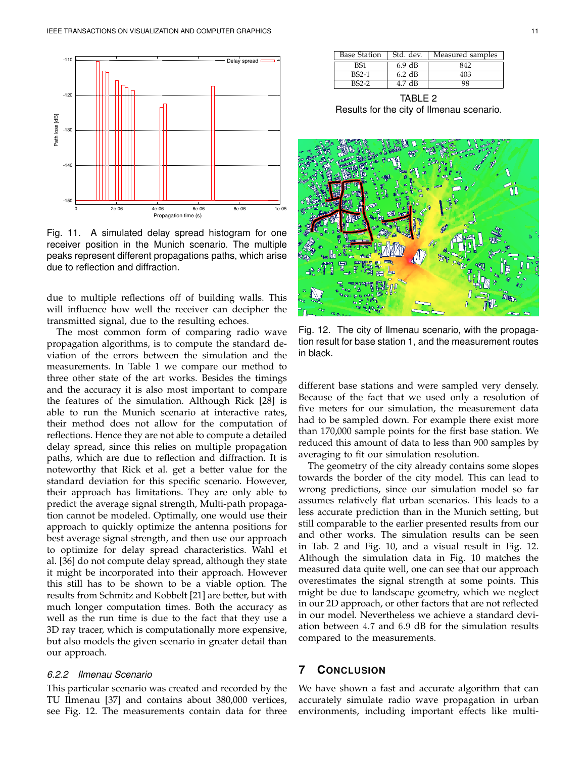

Fig. 11. A simulated delay spread histogram for one receiver position in the Munich scenario. The multiple peaks represent different propagations paths, which arise due to reflection and diffraction.

due to multiple reflections off of building walls. This will influence how well the receiver can decipher the transmitted signal, due to the resulting echoes.

The most common form of comparing radio wave propagation algorithms, is to compute the standard deviation of the errors between the simulation and the measurements. In Table 1 we compare our method to three other state of the art works. Besides the timings and the accuracy it is also most important to compare the features of the simulation. Although Rick [28] is able to run the Munich scenario at interactive rates, their method does not allow for the computation of reflections. Hence they are not able to compute a detailed delay spread, since this relies on multiple propagation paths, which are due to reflection and diffraction. It is noteworthy that Rick et al. get a better value for the standard deviation for this specific scenario. However, their approach has limitations. They are only able to predict the average signal strength, Multi-path propagation cannot be modeled. Optimally, one would use their approach to quickly optimize the antenna positions for best average signal strength, and then use our approach to optimize for delay spread characteristics. Wahl et al. [36] do not compute delay spread, although they state it might be incorporated into their approach. However this still has to be shown to be a viable option. The results from Schmitz and Kobbelt [21] are better, but with much longer computation times. Both the accuracy as well as the run time is due to the fact that they use a 3D ray tracer, which is computationally more expensive, but also models the given scenario in greater detail than our approach.

## *6.2.2 Ilmenau Scenario*

This particular scenario was created and recorded by the TU Ilmenau [37] and contains about 380,000 vertices, see Fig. 12. The measurements contain data for three

| <b>Base Station</b> | Std. dev.              | Measured samples |
|---------------------|------------------------|------------------|
| BS1                 | $6.9 \text{ dB}$       | ላ4″              |
| $BS2-1$             | $6.2$ dB               |                  |
| RS2-2               | $\overline{\text{dB}}$ | າຂ               |

TABLE 2 Results for the city of Ilmenau scenario.



Fig. 12. The city of Ilmenau scenario, with the propagation result for base station 1, and the measurement routes in black.

different base stations and were sampled very densely. Because of the fact that we used only a resolution of five meters for our simulation, the measurement data had to be sampled down. For example there exist more than 170,000 sample points for the first base station. We reduced this amount of data to less than 900 samples by averaging to fit our simulation resolution.

The geometry of the city already contains some slopes towards the border of the city model. This can lead to wrong predictions, since our simulation model so far assumes relatively flat urban scenarios. This leads to a less accurate prediction than in the Munich setting, but still comparable to the earlier presented results from our and other works. The simulation results can be seen in Tab. 2 and Fig. 10, and a visual result in Fig. 12. Although the simulation data in Fig. 10 matches the measured data quite well, one can see that our approach overestimates the signal strength at some points. This might be due to landscape geometry, which we neglect in our 2D approach, or other factors that are not reflected in our model. Nevertheless we achieve a standard deviation between 4.7 and 6.9 dB for the simulation results compared to the measurements.

# **7 CONCLUSION**

We have shown a fast and accurate algorithm that can accurately simulate radio wave propagation in urban environments, including important effects like multi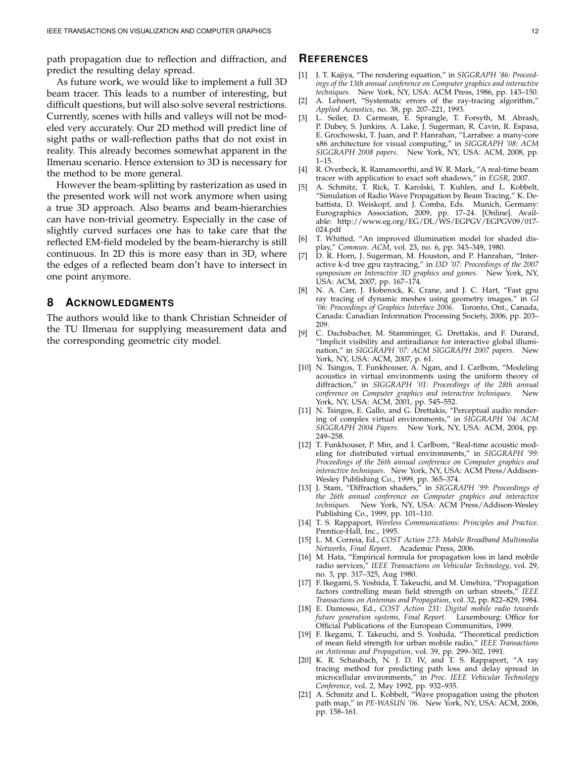path propagation due to reflection and diffraction, and predict the resulting delay spread.

As future work, we would like to implement a full 3D beam tracer. This leads to a number of interesting, but difficult questions, but will also solve several restrictions. Currently, scenes with hills and valleys will not be modeled very accurately. Our 2D method will predict line of sight paths or wall-reflection paths that do not exist in reality. This already becomes somewhat apparent in the Ilmenau scenario. Hence extension to 3D is necessary for the method to be more general.

However the beam-splitting by rasterization as used in the presented work will not work anymore when using a true 3D approach. Also beams and beam-hierarchies can have non-trivial geometry. Especially in the case of slightly curved surfaces one has to take care that the reflected EM-field modeled by the beam-hierarchy is still continuous. In 2D this is more easy than in 3D, where the edges of a reflected beam don't have to intersect in one point anymore.

# **8 ACKNOWLEDGMENTS**

The authors would like to thank Christian Schneider of the TU Ilmenau for supplying measurement data and the corresponding geometric city model.

# **REFERENCES**

- [1] J. T. Kajiya, "The rendering equation," in *SIGGRAPH '86: Proceedings of the 13th annual conference on Computer graphics and interactive techniques*. New York, NY, USA: ACM Press, 1986, pp. 143–150.
- [2] A. Lehnert, "Systematic errors of the ray-tracing algorithm," *Applied Acoustics*, no. 38, pp. 207–221, 1993.
- [3] L. Seiler, D. Carmean, E. Sprangle, T. Forsyth, M. Abrash, P. Dubey, S. Junkins, A. Lake, J. Sugerman, R. Cavin, R. Espasa, E. Grochowski, T. Juan, and P. Hanrahan, "Larrabee: a many-core x86 architecture for visual computing," in *SIGGRAPH '08: ACM SIGGRAPH 2008 papers*. New York, NY, USA: ACM, 2008, pp. 1–15.
- [4] R. Overbeck, R. Ramamoorthi, and W. R. Mark, "A real-time beam tracer with application to exact soft shadows," in *EGSR*, 2007.
- [5] A. Schmitz, T. Rick, T. Karolski, T. Kuhlen, and L. Kobbelt, "Simulation of Radio Wave Propagation by Beam Tracing," K. Debattista, D. Weiskopf, and J. Comba, Eds. Munich, Germany: Eurographics Association, 2009, pp. 17–24. [Online]. Available: http://www.eg.org/EG/DL/WS/EGPGV/EGPGV09/017- 024.pdf
- [6] T. Whitted, "An improved illumination model for shaded display," *Commun. ACM*, vol. 23, no. 6, pp. 343–349, 1980.
- [7] D. R. Horn, J. Sugerman, M. Houston, and P. Hanrahan, "Interactive k-d tree gpu raytracing," in *I3D '07: Proceedings of the 2007 symposium on Interactive 3D graphics and games*. New York, NY, USA: ACM, 2007, pp. 167–174.
- [8] N. A. Carr, J. Hoberock, K. Crane, and J. C. Hart, "Fast gpu ray tracing of dynamic meshes using geometry images," in *GI '06: Proceedings of Graphics Interface 2006*. Toronto, Ont., Canada, Canada: Canadian Information Processing Society, 2006, pp. 203– 209.
- [9] C. Dachsbacher, M. Stamminger, G. Drettakis, and F. Durand, "Implicit visibility and antiradiance for interactive global illumination," in *SIGGRAPH '07: ACM SIGGRAPH 2007 papers*. New York, NY, USA: ACM, 2007, p. 61.
- [10] N. Tsingos, T. Funkhouser, A. Ngan, and I. Carlbom, "Modeling acoustics in virtual environments using the uniform theory of diffraction," in *SIGGRAPH '01: Proceedings of the 28th annual conference on Computer graphics and interactive techniques*. New York, NY, USA: ACM, 2001, pp. 545–552.
- [11] N. Tsingos, E. Gallo, and G. Drettakis, "Perceptual audio rendering of complex virtual environments," in *SIGGRAPH '04: ACM SIGGRAPH 2004 Papers*. New York, NY, USA: ACM, 2004, pp. 249–258.
- [12] T. Funkhouser, P. Min, and I. Carlbom, "Real-time acoustic modeling for distributed virtual environments," in *SIGGRAPH '99: Proceedings of the 26th annual conference on Computer graphics and interactive techniques*. New York, NY, USA: ACM Press/Addison-Wesley Publishing Co., 1999, pp. 365–374.
- [13] J. Stam, "Diffraction shaders," in *SIGGRAPH '99: Proceedings of the 26th annual conference on Computer graphics and interactive techniques*. New York, NY, USA: ACM Press/Addison-Wesley Publishing Co., 1999, pp. 101–110.
- [14] T. S. Rappaport, *Wireless Communications: Principles and Practice*. Prentice-Hall, Inc., 1995.
- [15] L. M. Correia, Ed., *COST Action 273: Mobile Broadband Multimedia Networks, Final Report*. Academic Press, 2006.
- [16] M. Hata, "Empirical formula for propagation loss in land mobile radio services," *IEEE Transactions on Vehicular Technology*, vol. 29, no. 3, pp. 317–325, Aug 1980.
- [17] F. Ikegami, S. Yoshida, T. Takeuchi, and M. Umehira, "Propagation factors controlling mean field strength on urban streets," *IEEE Transactions on Antennas and Propagation*, vol. 32, pp. 822–829, 1984.
- [18] E. Damosso, Ed., *COST Action 231: Digital mobile radio towards future generation systems, Final Report*. Luxembourg: Office for Official Publications of the European Communities, 1999.
- [19] F. Ikegami, T. Takeuchi, and S. Yoshida, "Theoretical prediction of mean field strength for urban mobile radio," *IEEE Transactions on Antennas and Propagation*, vol. 39, pp. 299–302, 1991.
- [20] K. R. Schaubach, N. J. D. IV, and T. S. Rappaport, "A ray tracing method for predicting path loss and delay spread in microcellular environments," in *Proc. IEEE Vehicular Technology Conference*, vol. 2, May 1992, pp. 932–935.
- [21] A. Schmitz and L. Kobbelt, "Wave propagation using the photon path map," in *PE-WASUN '06*. New York, NY, USA: ACM, 2006, pp. 158–161.